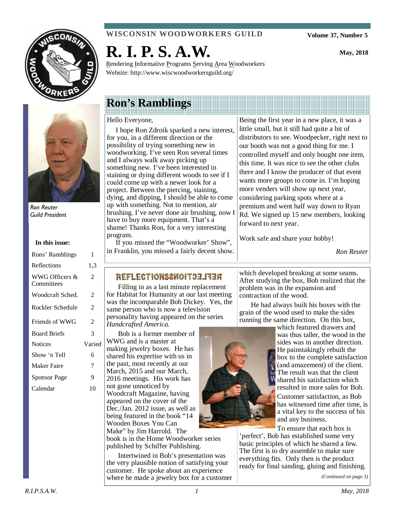



Ron Reuter Guild President

#### **In this issue:**

| Rons' Ramblings              | 1      |
|------------------------------|--------|
| Reflections                  | 1,3    |
| WWG Officers &<br>Committees | 2      |
| Woodcraft Sched.             | 2      |
| Rockler Schedule             | 2      |
| Friends of WWG               | 2      |
| <b>Board Briefs</b>          | 3      |
| <b>Notices</b>               | Varied |
| Show 'n Tell                 | 6      |
| Maker Faire                  | 7      |
| Sponsor Page                 | 9      |
| Calendar                     | 10     |

#### **WISCONSIN WOODWORKERS GUILD**

**R. I. P. S. A.W.** 

Rendering Informative Programs Serving Area Woodworkers Website: http://www.wiscwoodworkersguild.org/

# **Ron's Ramblings**

#### Hello Everyone,

 I hope Ron Zdroik sparked a new interest, for you, in a different direction or the possibility of trying something new in woodworking. I've seen Ron several times and I always walk away picking up something new. I've been interested in staining or dying different woods to see if I could come up with a newer look for a project. Between the piercing, staining, dying, and dipping, I should be able to come up with something. Not to mention, air brushing. I've never done air brushing, now I have to buy more equipment. That's a shame! Thanks Ron, for a very interesting program.

 If you missed the "Woodworker' Show", in Franklin, you missed a fairly decent show.

## **REFLECTIONS2WOIT33JRE**

Filling in as a last minute replacement for Habitat for Humanity at our last meeting was the incomparable Bob Dickey. Yes, the same person who is now a television personality having appeared on the series *Handcrafted America.* 

Bob is a former member of WWG and is a master at making jewelry boxes. He has shared his expertise with us in the past, most recently at our March, 2015 and our March, 2016 meetings. His work has not gone unnoticed by Woodcraft Magazine, having appeared on the cover of the Dec./Jan. 2012 issue, as well as being featured in the book "14 Wooden Boxes You Can Make" by Jim Harrold. The

book is in the Home Woodworker series published by Schiffer Publishing.

Intertwined in Bob's presentation was the very plausible notion of satisfying your customer. He spoke about an experience where he made a jewelry box for a customer

Being the first year in a new place, it was a little small, but it still had quite a bit of distributors to see. Woodpecker, right next to our booth was not a good thing for me. I controlled myself and only bought one item, this time. It was nice to see the other clubs there and I know the producer of that event wants more groups to come in. I'm hoping more venders will show up next year, considering parking spots where at a premium and went half way down to Ryan Rd. We signed up 15 new members, looking forward to next year.

Work safe and share your hobby!

*Ron Reuter* 

which developed breaking at some seams. After studying the box, Bob realized that the problem was in the expansion and contraction of the wood.

He had always built his boxes with the grain of the wood used to make the sides running the same direction. On this box,



which featured drawers and was thus taller, the wood in the sides was in another direction. He painstakingly rebuilt the box to the complete satisfaction (and amazement) of the client. The result was that the client shared his satisfaction which resulted in more sales for Bob.

Customer satisfaction, as Bob has witnessed time after time, is a vital key to the success of his and any business.

To ensure that each box is 'perfect', Bob has established some very basic principles of which he shared a few. The first is to dry assemble to make sure everything fits. Only then is the product ready for final sanding, gluing and finishing.

*(Continued on page 3)* 

# **Volume 37, Number 5**

**May, 2018**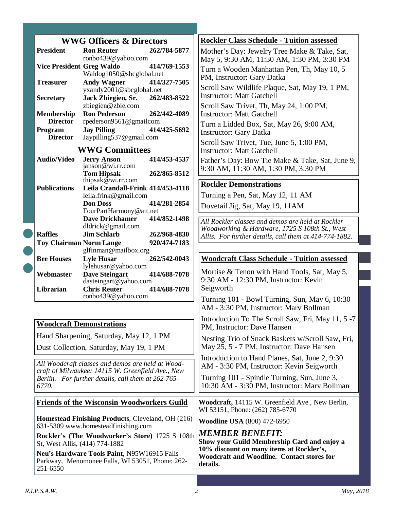| <b>WWG Officers &amp; Directors</b>                                                                        |                                      |                                                            | <b>Rockler Class Schedule - Tuition assessed</b>                                                          |                                                                                            |
|------------------------------------------------------------------------------------------------------------|--------------------------------------|------------------------------------------------------------|-----------------------------------------------------------------------------------------------------------|--------------------------------------------------------------------------------------------|
|                                                                                                            | <b>President</b>                     | <b>Ron Reuter</b><br>ronbo439@yahoo.com                    | 262/784-5877                                                                                              | Mother's Day: Jewelry Tree Make & Take, Sat,<br>May 5, 9:30 AM, 11:30 AM, 1:30 PM, 3:30 PM |
|                                                                                                            | <b>Vice President Greg Waldo</b>     | Waldog1050@sbcglobal.net                                   | 414/769-1553                                                                                              | Turn a Wooden Manhattan Pen, Th, May 10, 5<br>PM, Instructor: Gary Datka                   |
|                                                                                                            | <b>Treasurer</b>                     | <b>Andy Wagner</b><br>yxandy2001@sbcglobal.net             | 414/327-7505                                                                                              | Scroll Saw Wildlife Plaque, Sat, May 19, 1 PM,                                             |
|                                                                                                            | <b>Secretary</b>                     | Jack Zbiegien, Sr.<br>zbiegien@zbie.com                    | 262/483-8522                                                                                              | <b>Instructor: Matt Gatchell</b><br>Scroll Saw Trivet, Th, May 24, 1:00 PM,                |
|                                                                                                            | <b>Membership</b><br><b>Director</b> | <b>Ron Pederson</b><br>rpederson9561@gmailcom              | 262/442-4089                                                                                              | <b>Instructor: Matt Gatchell</b><br>Turn a Lidded Box, Sat, May 26, 9:00 AM,               |
|                                                                                                            | Program<br><b>Director</b>           | <b>Jay Pilling</b><br>Jaypilling537@gmail.com              | 414/425-5692                                                                                              | <b>Instructor: Gary Datka</b>                                                              |
|                                                                                                            |                                      | <b>WWG Committees</b>                                      |                                                                                                           | Scroll Saw Trivet, Tue, June 5, 1:00 PM,<br><b>Instructor: Matt Gatchell</b>               |
|                                                                                                            | <b>Audio/Video</b>                   | <b>Jerry Anson</b>                                         | 414/453-4537                                                                                              | Father's Day: Bow Tie Make & Take, Sat, June 9,                                            |
|                                                                                                            |                                      | janson@wi.rr.com<br><b>Tom Hipsak</b>                      | 262/865-8512                                                                                              | 9:30 AM, 11:30 AM, 1:30 PM, 3:30 PM                                                        |
|                                                                                                            |                                      | thipsak $@$ wi.rr.com                                      |                                                                                                           | <b>Rockler Demonstrations</b>                                                              |
|                                                                                                            | <b>Publications</b>                  | Leila Crandall-Frink 414/453-4118<br>leila.frink@gmail.com |                                                                                                           | Turning a Pen, Sat, May 12, 11 AM                                                          |
|                                                                                                            |                                      | <b>Don Doss</b><br>FourPartHarmony@att.net                 | 414/281-2854                                                                                              | Dovetail Jig, Sat, May 19, 11AM                                                            |
|                                                                                                            |                                      | <b>Dave Drickhamer</b>                                     | 414/852-1498                                                                                              | All Rockler classes and demos are held at Rockler                                          |
|                                                                                                            | <b>Raffles</b>                       | dldrick@gmail.com<br><b>Jim Schlarb</b>                    | 262/968-4830                                                                                              | Woodworking & Hardware, 1725 S 108th St., West                                             |
|                                                                                                            | <b>Toy Chairman Norm Lange</b>       |                                                            | 920/474-7183                                                                                              | Allis. For further details, call them at 414-774-1882.                                     |
|                                                                                                            |                                      | glfinman@mailbox.org                                       |                                                                                                           |                                                                                            |
|                                                                                                            | <b>Bee Houses</b>                    | <b>Lyle Husar</b><br>lylehusar@yahoo.com                   | 262/542-0043                                                                                              | <b>Woodcraft Class Schedule - Tuition assessed</b>                                         |
|                                                                                                            | Webmaster                            | <b>Dave Steingart</b><br>dasteingart@yahoo.com             | 414/688-7078                                                                                              | Mortise & Tenon with Hand Tools, Sat, May 5,<br>9:30 AM - 12:30 PM, Instructor: Kevin      |
|                                                                                                            | Librarian                            | <b>Chris Reuter</b><br>ronbo439@yahoo.com                  | 414/688-7078                                                                                              | Seigworth<br>Turning 101 - Bowl Turning, Sun, May 6, 10:30                                 |
|                                                                                                            |                                      |                                                            |                                                                                                           | AM - 3:30 PM, Instructor: Marv Bollman                                                     |
|                                                                                                            |                                      | <b>Woodcraft Demonstrations</b>                            |                                                                                                           | Introduction To The Scroll Saw, Fri, May 11, 5-7<br>PM, Instructor: Dave Hansen            |
| Hand Sharpening, Saturday, May 12, 1 PM                                                                    |                                      |                                                            | Nesting Trio of Snack Baskets w/Scroll Saw, Fri,<br>May 25, 5 - 7 PM, Instructor: Dave Hansen             |                                                                                            |
| Dust Collection, Saturday, May 19, 1 PM                                                                    |                                      |                                                            | Introduction to Hand Planes, Sat, June 2, 9:30                                                            |                                                                                            |
| All Woodcraft classes and demos are held at Wood-<br>craft of Milwaukee: 14115 W. Greenfield Ave., New     |                                      |                                                            | AM - 3:30 PM, Instructor: Kevin Seigworth                                                                 |                                                                                            |
| Berlin. For further details, call them at 262-765-<br>6770.                                                |                                      |                                                            | Turning 101 - Spindle Turning, Sun, June 3,<br>10:30 AM - 3:30 PM, Instructor: Marv Bollman               |                                                                                            |
|                                                                                                            |                                      | <b>Friends of the Wisconsin Woodworkers Guild</b>          |                                                                                                           | Woodcraft, 14115 W. Greenfield Ave., New Berlin,<br>WI 53151, Phone: (262) 785-6770        |
| Homestead Finishing Products, Cleveland, OH (216)<br>631-5309 www.homesteadfinishing.com                   |                                      |                                                            | <b>Woodline USA</b> (800) 472-6950                                                                        |                                                                                            |
| Rockler's (The Woodworker's Store) 1725 S 108th<br>St, West Allis, (414) 774-1882                          |                                      |                                                            | <b>MEMBER BENEFIT:</b><br>Show your Guild Membership Card and enjoy a                                     |                                                                                            |
| Neu's Hardware Tools Paint, N95W16915 Falls<br>Parkway, Menomonee Falls, WI 53051, Phone: 262-<br>251-6550 |                                      |                                                            | 10% discount on many items at Rockler's,<br><b>Woodcraft and Woodline. Contact stores for</b><br>details. |                                                                                            |

C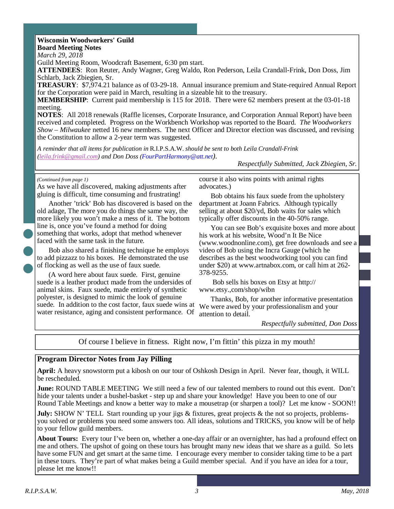#### **Wisconsin Woodworkers' Guild**

**Board Meeting Notes** 

*March 29, 2018* 

Guild Meeting Room, Woodcraft Basement, 6:30 pm start.

**ATTENDEES**: Ron Reuter, Andy Wagner, Greg Waldo, Ron Pederson, Leila Crandall-Frink, Don Doss, Jim Schlarb, Jack Zbiegien, Sr.

**TREASURY**: \$7,974.21 balance as of 03-29-18. Annual insurance premium and State-required Annual Report for the Corporation were paid in March, resulting in a sizeable hit to the treasury.

**MEMBERSHIP**: Current paid membership is 115 for 2018. There were 62 members present at the 03-01-18 meeting.

**NOTES**: All 2018 renewals (Raffle licenses, Corporate Insurance, and Corporation Annual Report) have been received and completed. Progress on the Workbench Workshop was reported to the Board. *The Woodworkers Show – Milwaukee* netted 16 new members. The next Officer and Director election was discussed, and revising the Constitution to allow a 2-year term was suggested.

*A reminder that all items for publication in* R.I.P.S.A.W. *should be sent to both Leila Crandall-Frink (leila.frink@gmail.com) and Don Doss (FourPartHarmony@att.net).* 

*Respectfully Submitted, Jack Zbiegien, Sr.*

*(Continued from page 1)* 

As we have all discovered, making adjustments after gluing is difficult, time consuming and frustrating!

Another 'trick' Bob has discovered is based on the old adage, The more you do things the same way, the more likely you won't make a mess of it. The bottom line is, once you've found a method for doing something that works, adopt that method whenever faced with the same task in the future.

Bob also shared a finishing technique he employs to add pizzazz to his boxes. He demonstrated the use of flocking as well as the use of faux suede.

(A word here about faux suede. First, genuine suede is a leather product made from the undersides of animal skins. Faux suede, made entirely of synthetic polyester, is designed to mimic the look of genuine suede. In addition to the cost factor, faux suede wins at water resistance, aging and consistent performance. Of

course it also wins points with animal rights advocates.)

Bob obtains his faux suede from the upholstery department at Joann Fabrics. Although typically selling at about \$20/yd, Bob waits for sales which typically offer discounts in the 40-50% range.

You can see Bob's exquisite boxes and more about his work at his website, Wood'n It Be Nice (www.woodnonline.com), get free downloads and see a video of Bob using the Incra Gauge (which he describes as the best woodworking tool you can find under \$20) at www.artnabox.com, or call him at 262- 378-9255.

 Bob sells his boxes on Etsy at http:// www.etsy.,com/shop/wibn

Thanks, Bob, for another informative presentation We were awed by your professionalism and your attention to detail.

*Respectfully submitted, Don Doss* 

Of course I believe in fitness. Right now, I'm fittin' this pizza in my mouth!

#### **Program Director Notes from Jay Pilling**

**April:** A heavy snowstorm put a kibosh on our tour of Oshkosh Design in April. Never fear, though, it WILL be rescheduled.

**June:** ROUND TABLE MEETING We still need a few of our talented members to round out this event. Don't hide your talents under a bushel-basket - step up and share your knowledge! Have you been to one of our Round Table Meetings and know a better way to make a mousetrap (or sharpen a tool)? Let me know - SOON!!

**July:** SHOW N' TELL Start rounding up your jigs & fixtures, great projects & the not so projects, problemsyou solved or problems you need some answers too. All ideas, solutions and TRICKS, you know will be of help to your fellow guild members.

**About Tours:** Every tour I've been on, whether a one-day affair or an overnighter, has had a profound effect on me and others. The upshot of going on these tours has brought many new ideas that we share as a guild. So lets have some FUN and get smart at the same time. I encourage every member to consider taking time to be a part in these tours. They're part of what makes being a Guild member special. And if you have an idea for a tour, please let me know!!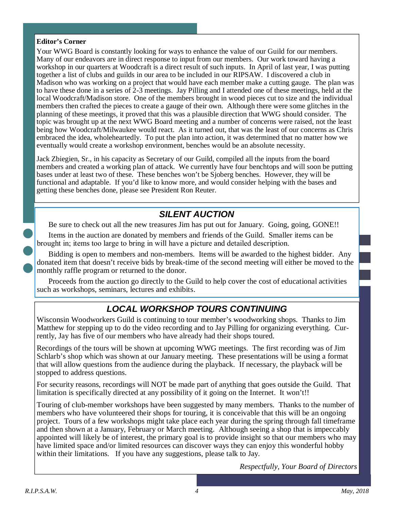### **Editor's Corner**

Your WWG Board is constantly looking for ways to enhance the value of our Guild for our members. Many of our endeavors are in direct response to input from our members. Our work toward having a workshop in our quarters at Woodcraft is a direct result of such inputs. In April of last year, I was putting together a list of clubs and guilds in our area to be included in our RIPSAW. I discovered a club in Madison who was working on a project that would have each member make a cutting gauge. The plan was to have these done in a series of 2-3 meetings. Jay Pilling and I attended one of these meetings, held at the local Woodcraft/Madison store. One of the members brought in wood pieces cut to size and the individual members then crafted the pieces to create a gauge of their own. Although there were some glitches in the planning of these meetings, it proved that this was a plausible direction that WWG should consider. The topic was brought up at the next WWG Board meeting and a number of concerns were raised, not the least being how Woodcraft/Milwaukee would react. As it turned out, that was the least of our concerns as Chris embraced the idea, wholeheartedly. To put the plan into action, it was determined that no matter how we eventually would create a workshop environment, benches would be an absolute necessity.

Jack Zbiegien, Sr., in his capacity as Secretary of our Guild, compiled all the inputs from the board members and created a working plan of attack. We currently have four benchtops and will soon be putting bases under at least two of these. These benches won't be Sjoberg benches. However, they will be functional and adaptable. If you'd like to know more, and would consider helping with the bases and getting these benches done, please see President Ron Reuter.

# **SILENT AUCTION**

Be sure to check out all the new treasures Jim has put out for January. Going, going, GONE!!

Items in the auction are donated by members and friends of the Guild. Smaller items can be brought in; items too large to bring in will have a picture and detailed description.

Bidding is open to members and non-members. Items will be awarded to the highest bidder. Any donated item that doesn't receive bids by break-time of the second meeting will either be moved to the monthly raffle program or returned to the donor.

Proceeds from the auction go directly to the Guild to help cover the cost of educational activities such as workshops, seminars, lectures and exhibits.

# **LOCAL WORKSHOP TOURS CONTINUING**

Wisconsin Woodworkers Guild is continuing to tour member's woodworking shops. Thanks to Jim Matthew for stepping up to do the video recording and to Jay Pilling for organizing everything. Currently, Jay has five of our members who have already had their shops toured.

Recordings of the tours will be shown at upcoming WWG meetings. The first recording was of Jim Schlarb's shop which was shown at our January meeting. These presentations will be using a format that will allow questions from the audience during the playback. If necessary, the playback will be stopped to address questions.

For security reasons, recordings will NOT be made part of anything that goes outside the Guild. That limitation is specifically directed at any possibility of it going on the Internet. It won't!!

Touring of club-member workshops have been suggested by many members. Thanks to the number of members who have volunteered their shops for touring, it is conceivable that this will be an ongoing project. Tours of a few workshops might take place each year during the spring through fall timeframe and then shown at a January, February or March meeting. Although seeing a shop that is impeccably appointed will likely be of interest, the primary goal is to provide insight so that our members who may have limited space and/or limited resources can discover ways they can enjoy this wonderful hobby within their limitations. If you have any suggestions, please talk to Jay.

*Respectfully, Your Board of Directors*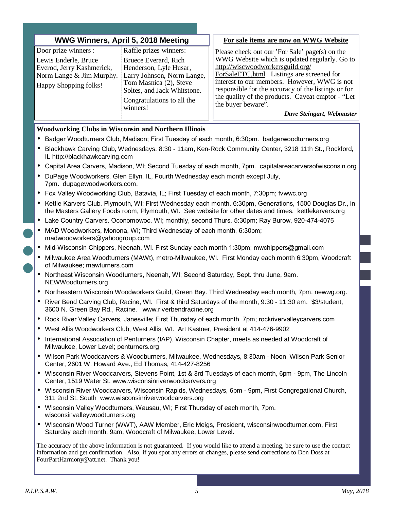| WWG Winners, April 5, 2018 Meeting                                                                                             |                                                                                                                                                                 |  | For sale items are now on WWG Website                                                                                                                                                                                                                                                    |
|--------------------------------------------------------------------------------------------------------------------------------|-----------------------------------------------------------------------------------------------------------------------------------------------------------------|--|------------------------------------------------------------------------------------------------------------------------------------------------------------------------------------------------------------------------------------------------------------------------------------------|
| Door prize winners :<br>Lewis Enderle, Bruce<br>Everod, Jerry Kashmerick,<br>Norm Lange & Jim Murphy.<br>Happy Shopping folks! | Raffle prizes winners:<br>Bruece Everard, Rich<br>Henderson, Lyle Husar,<br>Larry Johnson, Norm Lange,<br>Tom Masnica (2), Steve<br>Soltes, and Jack Whitstone. |  | Please check out our 'For Sale' page(s) on the<br>WWG Website which is updated regularly. Go to<br>http://wiscwoodworkersguild.org/<br>ForSaleETC.html. Listings are screened for<br>interest to our members. However, WWG is not<br>responsible for the accuracy of the listings or for |
|                                                                                                                                | Congratulations to all the<br>winners!                                                                                                                          |  | the quality of the products. Caveat emptor - "Let<br>the buyer beware".<br>Dave Steingart, Webmaster                                                                                                                                                                                     |

#### **Woodworking Clubs in Wisconsin and Northern Illinois**

- Badger Woodturners Club, Madison; First Tuesday of each month, 6:30pm. badgerwoodturners.org
- Blackhawk Carving Club, Wednesdays, 8:30 11am, Ken-Rock Community Center, 3218 11th St., Rockford, IL http://blackhawkcarving.com
- Capital Area Carvers, Madison, WI; Second Tuesday of each month, 7pm. capitalareacarversofwisconsin.org
- DuPage Woodworkers, Glen Ellyn, IL, Fourth Wednesday each month except July, 7pm. dupagewoodworkers.com.
- Fox Valley Woodworking Club, Batavia, IL; First Tuesday of each month, 7:30pm; fvwwc.org
- Kettle Karvers Club, Plymouth, WI; First Wednesday each month, 6:30pm, Generations, 1500 Douglas Dr., in the Masters Gallery Foods room, Plymouth, WI. See website for other dates and times. kettlekarvers.org
- Lake Country Carvers, Oconomowoc, WI; monthly, second Thurs. 5:30pm; Ray Burow, 920-474-4075
- MAD Woodworkers, Monona, WI; Third Wednesday of each month, 6:30pm; madwoodworkers@yahoogroup.com
- Mid-Wisconsin Chippers, Neenah, WI. First Sunday each month 1:30pm; mwchippers@gmail.com
- Milwaukee Area Woodturners (MAWt), metro-Milwaukee, WI. First Monday each month 6:30pm, Woodcraft of Milwaukee; mawturners.com
- Northeast Wisconsin Woodturners, Neenah, WI; Second Saturday, Sept. thru June, 9am. NEWWoodturners.org
- Northeastern Wisconsin Woodworkers Guild, Green Bay. Third Wednesday each month, 7pm. newwg.org.
- River Bend Carving Club, Racine, WI. First & third Saturdays of the month, 9:30 11:30 am. \$3/student, 3600 N. Green Bay Rd., Racine. www.riverbendracine.org
- Rock River Valley Carvers, Janesville; First Thursday of each month, 7pm; rockrivervalleycarvers.com
- West Allis Woodworkers Club, West Allis, WI. Art Kastner, President at 414-476-9902
- International Association of Penturners (IAP), Wisconsin Chapter, meets as needed at Woodcraft of Milwaukee, Lower Level; penturners.org
- Wilson Park Woodcarvers & Woodburners, Milwaukee, Wednesdays, 8:30am Noon, Wilson Park Senior Center, 2601 W. Howard Ave., Ed Thomas, 414-427-8256
- Wisconsin River Woodcarvers, Stevens Point, 1st & 3rd Tuesdays of each month, 6pm 9pm, The Lincoln Center, 1519 Water St. www.wisconsinriverwoodcarvers.org
- Wisconsin River Woodcarvers, Wisconsin Rapids, Wednesdays, 6pm 9pm, First Congregational Church, 311 2nd St. South www.wisconsinriverwoodcarvers.org
- Wisconsin Valley Woodturners, Wausau, WI; First Thursday of each month, 7pm. wisconsinvalleywoodturners.org
- Wisconsin Wood Turner (WWT), AAW Member, Eric Meigs, President, wisconsinwoodturner.com, First Saturday each month, 9am, Woodcraft of Milwaukee, Lower Level.

The accuracy of the above information is not guaranteed. If you would like to attend a meeting, be sure to use the contact information and get confirmation. Also, if you spot any errors or changes, please send corrections to Don Doss at FourPartHarmony@att.net. Thank you!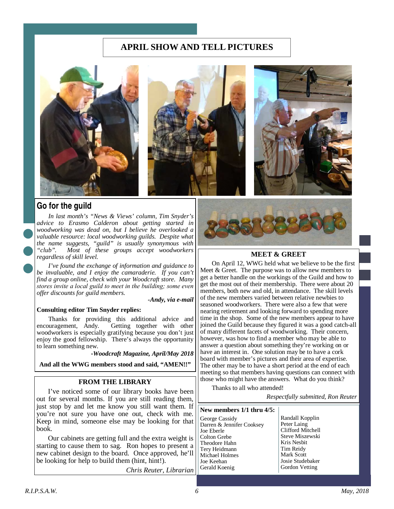## **APRIL SHOW AND TELL PICTURES**



## **Go for the guild**

*In last month's "News & Views' column, Tim Snyder's advice to Erasmo Calderon about getting started in woodworking was dead on, but I believe he overlooked a valuable resource: local woodworking guilds. Despite what the name suggests, "guild" is usually synonymous with "club". Most of these groups accept woodworkers regardless of skill level.* 

*I've found the exchange of information and guidance to be invaluable, and I enjoy the camaraderie. If you can't find a group online, check with your Woodcraft store. Many*  stores invite a local guild to meet in the building; some even *offer discounts for guild members.* 

*-Andy, via e-mail* 

#### **Consulting editor Tim Snyder replies:**

Thanks for providing this additional advice and encouragement, Andy. Getting together with other Getting together with other woodworkers is especially gratifying because you don't just enjoy the good fellowship. There's always the opportunity to learn something new.

-*Woodcraft Magazine, April/May 2018* 

**And all the WWG members stood and said, "AMEN!!"** 

#### **FROM THE LIBRARY**

I've noticed some of our library books have been out for several months. If you are still reading them, just stop by and let me know you still want them. If you're not sure you have one out, check with me. Keep in mind, someone else may be looking for that book.

Our cabinets are getting full and the extra weight is starting to cause them to sag. Ron hopes to present a new cabinet design to the board. Once approved, he'll be looking for help to build them (hint, hint!).

*Chris Reuter, Librarian* 



#### **MEET & GREET**

On April 12, WWG held what we believe to be the first Meet & Greet. The purpose was to allow new members to get a better handle on the workings of the Guild and how to get the most out of their membership. There were about 20 members, both new and old, in attendance. The skill levels of the new members varied between relative newbies to seasoned woodworkers. There were also a few that were nearing retirement and looking forward to spending more time in the shop. Some of the new members appear to have joined the Guild because they figured it was a good catch-all of many different facets of woodworking. Their concern, however, was how to find a member who may be able to answer a question about something they're working on or have an interest in. One solution may be to have a cork board with member's pictures and their area of expertise. The other may be to have a short period at the end of each meeting so that members having questions can connect with those who might have the answers. What do you think?

Thanks to all who attended!

*Respectfully submitted, Ron Reuter*

#### **New members 1/1 thru 4/5:**

George Cassidy Darren & Jennifer Cooksey Joe Eberle Colton Grebe Theodore Hahn Tery Heidmann Michael Holmes Joe Keehan Gerald Koenig

Randall Kopplin Peter Laing Clifford Mitchell Steve Miszewski Kris Nesbit Tim Reidy Mark Scott Josie Studebaker Gordon Vetting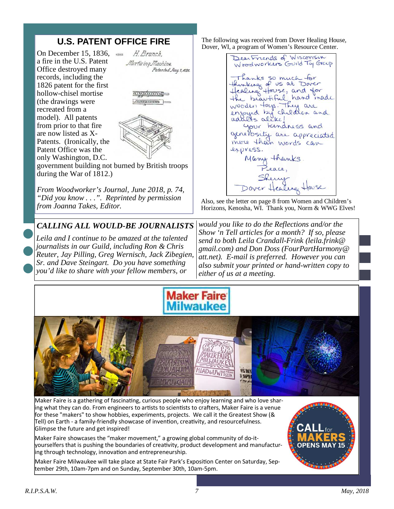# **U.S. PATENT OFFICE FIRE**

On December 15, 1836, a fire in the U.S. Patent Office destroyed many records, including the 1826 patent for the first hollow-chisel mortise (the drawings were recreated from a model). All patents from prior to that fire are now listed as X-Patents. (Ironically, the Patent Office was the only Washington, D.C.



amanno. *<u>Fortunance</u>* 



government building not burned by British troops during the War of 1812.)

*From Woodworker's Journal, June 2018, p. 74, "Did you know . . .". Reprinted by permission from Joanna Takes, Editor.* 

## *CALLING ALL WOULD-BE JOURNALISTS*

*Leila and I continue to be amazed at the talented journalists in our Guild, including Ron & Chris Reuter, Jay Pilling, Greg Wernisch, Jack Zibegien, Sr. and Dave Steingart. Do you have something you'd like to share with your fellow members, or* 

The following was received from Dover Healing House, Dover, WI, a program of Women's Resource Center.

DearFriends of Wisconsin<br>Woodworkers Guild Ty Group Thanks so much for hinking of us at Dover the beautiful hand made wooder fors. They are enjoyed by children and your lendness and generosity are appreciated more than words can express. Many thanks Beace,

Also, see the letter on page 8 from Women and Children's Horizons, Kenosha, WI. Thank you, Norm & WWG Elves!

*would you like to do the Reflections and/or the Show 'n Tell articles for a month? If so, please send to both Leila Crandall-Frink (leila.frink@ gmail.com) and Don Doss (FourPartHarmony@ att.net). E-mail is preferred. However you can also submit your printed or hand-written copy to either of us at a meeting.* 





Maker Faire is a gathering of fascinating, curious people who enjoy learning and who love sharing what they can do. From engineers to artists to scientists to crafters, Maker Faire is a venue for these "makers" to show hobbies, experiments, projects. We call it the Greatest Show (& Tell) on Earth - a family-friendly showcase of invention, creativity, and resourcefulness. Glimpse the future and get inspired!

Maker Faire showcases the "maker movement," a growing global community of do-ityourselfers that is pushing the boundaries of creativity, product development and manufactur- $\frac{1}{2}$ ing through technology, innovation and entrepreneurship.

Maker Faire Milwaukee will take place at State Fair Park's Exposition Center on Saturday, September 29th, 10am-7pm and on Sunday, September 30th, 10am-5pm.

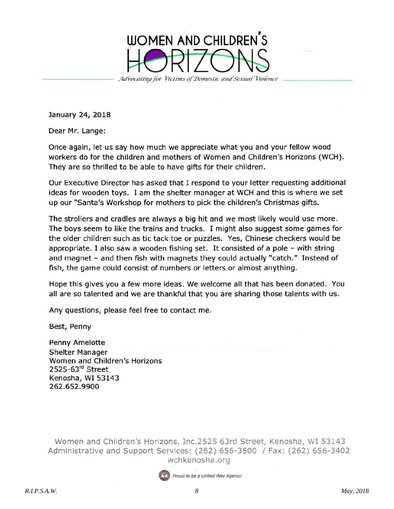

January 24, 2018

Dear Mr. Lange:

Once again, let us say how much we appreciate what you and your fellow wood workers do for the children and mothers of Women and Children's Horizons (WCH). They are so thrilled to be able to have gifts for their children.

Our Executive Director has asked that I respond to your letter requesting additional ideas for wooden toys. I am the shelter manager at WCH and this is where we set up our "Santa's Workshop for mothers to pick the children's Christmas gifts.

The strollers and cradles are always a big hit and we most likely would use more. The boys seem to like the trains and trucks. I might also suggest some games for the older children such as tic tack toe or puzzles. Yes, Chinese checkers would be appropriate. I also saw a wooden fishing set. It consisted of a pole - with string and magnet - and then fish with magnets they could actually "catch." Instead of fish, the game could consist of numbers or letters or almost anything.

Hope this gives you a few more ideas. We welcome all that has been donated. You all are so talented and we are thankful that you are sharing those talents with us.

Any questions, please feel free to contact me.

Best, Penny

Penny Amelotte **Shelter Manager** Women and Children's Horizons 2525-63<sup>rd</sup> Street Kenosha, WI 53143 262.652.9900

Women and Children's Horizons, Inc.2525 63rd Street, Kenosha, WI 53143 Administrative and Support Services: (262) 656-3500 / Fax: (262) 656-3402 wchkenosha.org

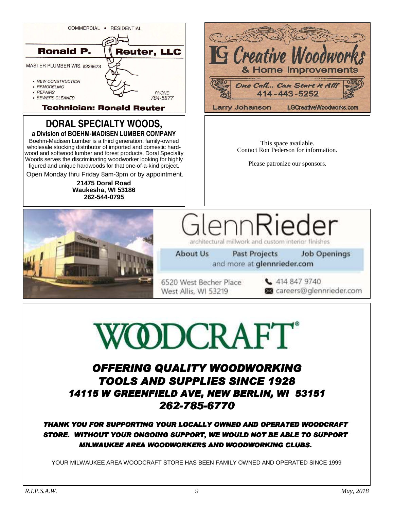